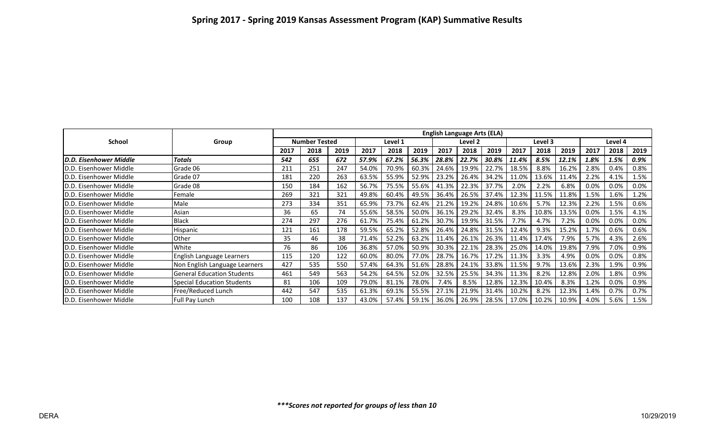|                                |                                   | <b>English Language Arts (ELA)</b> |      |      |         |       |          |         |         |       |         |       |       |         |      |      |
|--------------------------------|-----------------------------------|------------------------------------|------|------|---------|-------|----------|---------|---------|-------|---------|-------|-------|---------|------|------|
| <b>School</b>                  | Group                             | <b>Number Tested</b>               |      |      | Level 1 |       |          | Level 2 |         |       | Level 3 |       |       | Level 4 |      |      |
|                                |                                   | 2017                               | 2018 | 2019 | 2017    | 2018  | 2019     | 2017    | 2018    | 2019  | 2017    | 2018  | 2019  | 2017    | 2018 | 2019 |
| <b>ID.D. Eisenhower Middle</b> | <b>Totals</b>                     | 542                                | 655  | 672  | 57.9%   | 67.2% | 56.3%    | 28.8%   | 22.7%   | 30.8% | 11.4%   | 8.5%  | 12.1% | 1.8%    | 1.5% | 0.9% |
| <b>ID.D. Eisenhower Middle</b> | Grade 06                          | 211                                | 251  | 247  | 54.0%   | 70.9% | 60.3%    | 24.6%   | 19.9%   | 22.7% | 18.5%   | 8.8%  | 16.2% | 2.8%    | 0.4% | 0.8% |
| <b>ID.D. Eisenhower Middle</b> | Grade 07                          | 181                                | 220  | 263  | 63.5%   | 55.9% | 52.9%    | 23.2%   | 26.4%   | 34.2% | 11.0%   | 13.6% | 11.4% | 2.2%    | 4.1% | 1.5% |
| <b>ID.D. Eisenhower Middle</b> | Grade 08                          | 150                                | 184  | 162  | 56.7%   | 75.5% | 55.6%    | 41.3%   | 22.3%   | 37.7% | 2.0%    | 2.2%  | 6.8%  | 0.0%    | 0.0% | 0.0% |
| <b>ID.D. Eisenhower Middle</b> | Female                            | 269                                | 321  | 321  | 49.8%   | 60.4% | 49.5%    | 36.4%   | 26.5%   | 37.4% | 12.3%   | 11.5% | 11.8% | 1.5%    | 1.6% | 1.2% |
| <b>ID.D. Eisenhower Middle</b> | Male                              | 273                                | 334  | 351  | 65.9%   | 73.7% | 62.4%    | 21.2%   | 19.2%   | 24.8% | 10.6%   | 5.7%  | 12.3% | 2.2%    | 1.5% | 0.6% |
| <b>ID.D.</b> Eisenhower Middle | Asian                             | 36                                 | 65   | 74   | 55.6%   | 58.5% | 50.0%    | 36.1%   | 29.2%   | 32.4% | 8.3%    | 10.8% | 13.5% | 0.0%    | 1.5% | 4.1% |
| <b>ID.D. Eisenhower Middle</b> | <b>Black</b>                      | 274                                | 297  | 276  | 61.7%   | 75.4% | 61.2%    | 30.7%   | 19.9%   | 31.5% | 7.7%    | 4.7%  | 7.2%  | 0.0%    | 0.0% | 0.0% |
| <b>ID.D. Eisenhower Middle</b> | Hispanic                          | 121                                | 161  | 178  | 59.5%   | 65.2% | 52.8%    | 26.4%   | 24.8%   | 31.5% | 12.4%   | 9.3%  | 15.2% | 1.7%    | 0.6% | 0.6% |
| <b>ID.D. Eisenhower Middle</b> | Other                             | 35                                 | 46   | 38   | 71.4%   | 52.2% | 63.2%    | 11.4%   | 26.1%   | 26.3% | 11.4%   | 17.4% | 7.9%  | 5.7%    | 4.3% | 2.6% |
| <b>ID.D. Eisenhower Middle</b> | White                             | 76                                 | 86   | 106  | 36.8%   | 57.0% | 50.9%    | 30.3%   | 22.1%   | 28.3% | 25.0%   | 14.0% | 19.8% | 7.9%    | 7.0% | 0.9% |
| D.D. Eisenhower Middle         | English Language Learners         | 115                                | 120  | 122  | 60.0%   | 80.0% | 77.0%    | 28.7%   | 16.7%   | 17.2% | 11.3%   | 3.3%  | 4.9%  | 0.0%    | 0.0% | 0.8% |
| D.D. Eisenhower Middle         | Non English Language Learners     | 427                                | 535  | 550  | 57.4%   | 64.3% | 51.6%    | 28.8%   | 24.1%   | 33.8% | 11.5%   | 9.7%  | 13.6% | 2.3%    | 1.9% | 0.9% |
| <b>ID.D. Eisenhower Middle</b> | <b>General Education Students</b> | 461                                | 549  | 563  | 54.2%   | 64.5% | 52.0%    | 32.5%   | 25.5%   | 34.3% | 11.3%   | 8.2%  | 12.8% | 2.0%    | L.8% | 0.9% |
| <b>ID.D. Eisenhower Middle</b> | <b>Special Education Students</b> | 81                                 | 106  | 109  | 79.0%   | 81.1% | 78.0%    | 7.4%    | 8.5%    | 12.8% | 12.3%   | 10.4% | 8.3%  | 1.2%    | 0.0% | 0.9% |
| <b>ID.D. Eisenhower Middle</b> | Free/Reduced Lunch                | 442                                | 547  | 535  | 61.3%   | 69.1% | 55.5%    | 27.1%   | 21.9%   | 31.4% | 10.2%   | 8.2%  | 12.3% | 1.4%    | 0.7% | 0.7% |
| D.D. Eisenhower Middle         | Full Pay Lunch                    | 100                                | 108  | 137  | 43.0%   | 57.4% | $59.1\%$ | 36.0%   | 26.9% L | 28.5% | 17.0% l | 10.2% | 10.9% | 4.0%    | 5.6% | 1.5% |